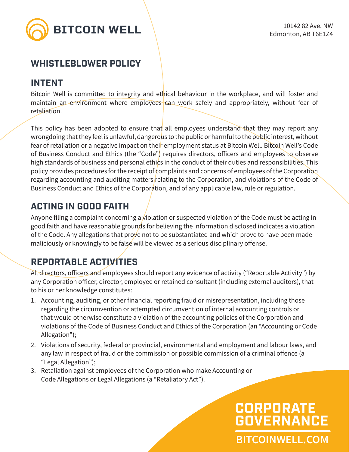

### **WHISTLEBLOWER POLICY**

### **INTENT**

Bitcoin Well is committed to integrity and ethical behaviour in the workplace, and will foster and maintain an environment where employees can work safely and appropriately, without fear of retaliation.

This policy has been adopted to ensure that all employees understand that they may report any wrongdoing that they feel is unlawful, dangerous to the public or harmful to the public interest, without fear of retaliation or a negative impact on their employment status at Bitcoin Well. Bitcoin Well's Code of Business Conduct and Ethics (the "Code") requires directors, officers and employees to observe high standards of business and personal ethics in the conduct of their duties and responsibilities. This policy provides procedures for the receipt of complaints and concerns of employees of the Corporation regarding accounting and auditing matters relating to the Corporation, and violations of the Code of Business Conduct and Ethics of the Corporation, and of any applicable law, rule or regulation.

### **ACTING IN GOOD FAITH**

Anyone filing a complaint concerning a violation or suspected violation of the Code must be acting in good faith and have reasonable grounds for believing the information disclosed indicates a violation of the Code. Any allegations that prove not to be substantiated and which prove to have been made maliciously or knowingly to be false will be viewed as a serious disciplinary offense.

## **REPORTABLE ACTIVITIES**

All directors, officers and employees should report any evidence of activity ("Reportable Activity") by any Corporation officer, director, employee or retained consultant (including external auditors), that to his or her knowledge constitutes:

- 1. Accounting, auditing, or other financial reporting fraud or misrepresentation, including those regarding the circumvention or attempted circumvention of internal accounting controls or that would otherwise constitute a violation of the accounting policies of the Corporation and violations of the Code of Business Conduct and Ethics of the Corporation (an "Accounting or Code Allegation");
- 2. Violations of security, federal or provincial, environmental and employment and labour laws, and any law in respect of fraud or the commission or possible commission of a criminal offence (a "Legal Allegation");
- 3. Retaliation against employees of the Corporation who make Accounting or Code Allegations or Legal Allegations (a "Retaliatory Act").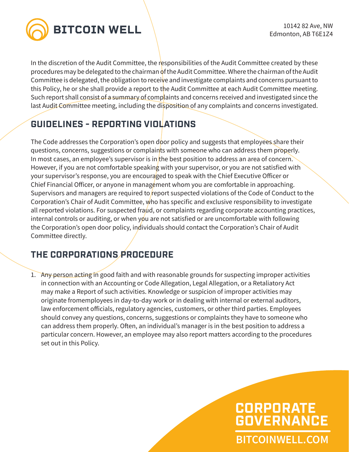

In the discretion of the Audit Committee, the responsibilities of the Audit Committee created by these procedures may be delegated to the chairman of the Audit Committee. Where the chairman of the Audit Committee is delegated, the obligation to receive and investigate complaints and concerns pursuant to this Policy, he or she shall provide a report to the Audit Committee at each Audit Committee meeting. Such report shall consist of a summary of complaints and concerns received and investigated since the last Audit Committee meeting, including the disposition of any complaints and concerns investigated.

## **GUIDELINES - REPORTING VIOLATIONS**

The Code addresses the Corporation's open door policy and suggests that employees share their questions, concerns, suggestions or complaints with someone who can address them properly. In most cases, an employee's supervisor is in the best position to address an area of concern. However, if you are not comfortable speaking with your supervisor, or you are not satisfied with your supervisor's response, you are encouraged to speak with the Chief Executive Officer or Chief Financial Officer, or anyone in management whom you are comfortable in approaching. Supervisors and managers are required to report suspected violations of the Code of Conduct to the Corporation's Chair of Audit Committee, who has specific and exclusive responsibility to investigate all reported violations. For suspected fraud, or complaints regarding corporate accounting practices, internal controls or auditing, or when you are not satisfied or are uncomfortable with following the Corporation's open door policy, individuals should contact the Corporation's Chair of Audit Committee directly.

## **THE CORPORATIONS PROCEDURE**

1. Any person acting in good faith and with reasonable grounds for suspecting improper activities in connection with an Accounting or Code Allegation, Legal Allegation, or a Retaliatory Act may make a Report of such activities. Knowledge or suspicion of improper activities may originate fromemployees in day-to-day work or in dealing with internal or external auditors, law enforcement officials, regulatory agencies, customers, or other third parties. Employees should convey any questions, concerns, suggestions or complaints they have to someone who can address them properly. Often, an individual's manager is in the best position to address a particular concern. However, an employee may also report matters according to the procedures set out in this Policy.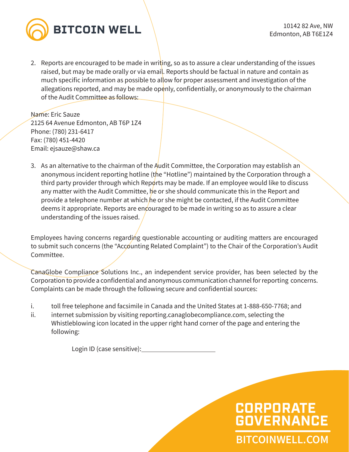

2. Reports are encouraged to be made in writing, so as to assure a clear understanding of the issues raised, but may be made orally or via email. Reports should be factual in nature and contain as much specific information as possible to allow for proper assessment and investigation of the allegations reported, and may be made openly, confidentially, or anonymously to the chairman of the Audit Committee as follows:

Name: Eric Sauze 2125 64 Avenue Edmonton, AB T6P 1Z4 Phone: (780) 231-6417 Fax: (780) 451-4420 Email: ejsauze@shaw.ca

3. As an alternative to the chairman of the Audit Committee, the Corporation may establish an anonymous incident reporting hotline (the "Hotline") maintained by the Corporation through a third party provider through which Reports may be made. If an employee would like to discuss any matter with the Audit Committee, he or she should communicate this in the Report and provide a telephone number at which he or she might be contacted, if the Audit Committee deems it appropriate. Reports are encouraged to be made in writing so as to assure a clear understanding of the issues raised.

Employees having concerns regarding questionable accounting or auditing matters are encouraged to submit such concerns (the "Accounting Related Complaint") to the Chair of the Corporation's Audit Committee.

CanaGlobe Compliance Solutions Inc., an independent service provider, has been selected by the Corporation to provide a confidential and anonymous communication channel for reporting concerns. Complaints can be made through the following secure and confidential sources:

i. toll free telephone and facsimile in Canada and the United States at 1-888-650-7768; and

ii. internet submission by visiting reporting.canaglobecompliance.com, selecting the Whistleblowing icon located in the upper right hand corner of the page and entering the following:

Login ID (case sensitive):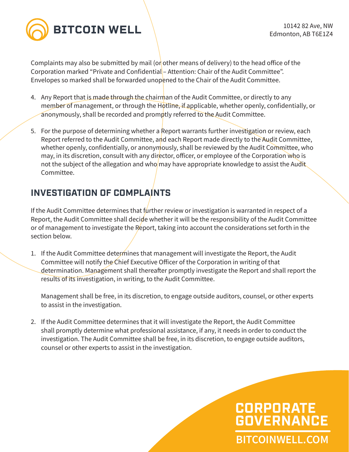

Complaints may also be submitted by mail (or other means of delivery) to the head office of the Corporation marked "Private and Confidential – Attention: Chair of the Audit Committee". Envelopes so marked shall be forwarded unopened to the Chair of the Audit Committee.

- 4. Any Report that is made through the chairman of the Audit Committee, or directly to any member of management, or through the Hotline, if applicable, whether openly, confidentially, or anonymously, shall be recorded and promptly referred to the Audit Committee.
- 5. For the purpose of determining whether a Report warrants further investigation or review, each Report referred to the Audit Committee, and each Report made directly to the Audit Committee, whether openly, confidentially, or anonymously, shall be reviewed by the Audit Committee, who may, in its discretion, consult with any director, officer, or employee of the Corporation who is not the subject of the allegation and who may have appropriate knowledge to assist the Audit Committee.

### **INVESTIGATION OF COMPLAINTS**

If the Audit Committee determines that further review or investigation is warranted in respect of a Report, the Audit Committee shall decide whether it will be the responsibility of the Audit Committee or of management to investigate the Report, taking into account the considerations set forth in the section below.

1. If the Audit Committee determines that management will investigate the Report, the Audit Committee will notify the Chief Executive Officer of the Corporation in writing of that determination. Management shall thereafter promptly investigate the Report and shall report the results of its investigation, in writing, to the Audit Committee.

Management shall be free, in its discretion, to engage outside auditors, counsel, or other experts to assist in the investigation.

2. If the Audit Committee determines that it will investigate the Report, the Audit Committee shall promptly determine what professional assistance, if any, it needs in order to conduct the investigation. The Audit Committee shall be free, in its discretion, to engage outside auditors, counsel or other experts to assist in the investigation.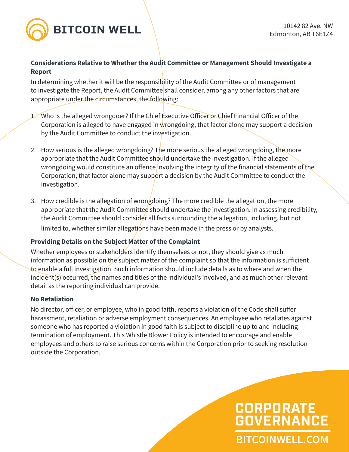

#### **Considerations Relative to Whether the Audit Committee or Management Should Investigate a Report**

In determining whether it will be the responsibility of the Audit Committee or of management to investigate the Report, the Audit Committee shall consider, among any other factors that are appropriate under the circumstances, the following:

- 1. Who is the alleged wrongdoer? If the Chief Executive Officer or Chief Financial Officer of the Corporation is alleged to have engaged in wrongdoing, that factor alone may support a decision by the Audit Committee to conduct the investigation.
- 2. How serious is the alleged wrongdoing? The more serious the alleged wrongdoing, the more appropriate that the Audit Committee should undertake the investigation. If the alleged wrongdoing would constitute an offence involving the integrity of the financial statements of the Corporation, that factor alone may support a decision by the Audit Committee to conduct the investigation.
- 3. How credible is the allegation of wrongdoing? The more credible the allegation, the more appropriate that the Audit Committee should undertake the investigation. In assessing credibility, the Audit Committee should consider all facts surrounding the allegation, including, but not limited to, whether similar allegations have been made in the press or by analysts.

### **Providing Details on the Subject Matter of the Complaint**

Whether employees or stakeholders identify themselves or not, they should give as much information as possible on the subject matter of the complaint so that the information is sufficient to enable a full investigation. Such information should include details as to where and when the incident(s) occurred, the names and titles of the individual's involved, and as much other relevant detail as the reporting individual can provide.

#### **No Retaliation**

No director, officer, or employee, who in good faith, reports a violation of the Code shall suffer harassment, retaliation or adverse employment consequences. An employee who retaliates against someone who has reported a violation in good faith is subject to discipline up to and including termination of employment. This Whistle Blower Policy is intended to encourage and enable employees and others to raise serious concerns within the Corporation prior to seeking resolution outside the Corporation.